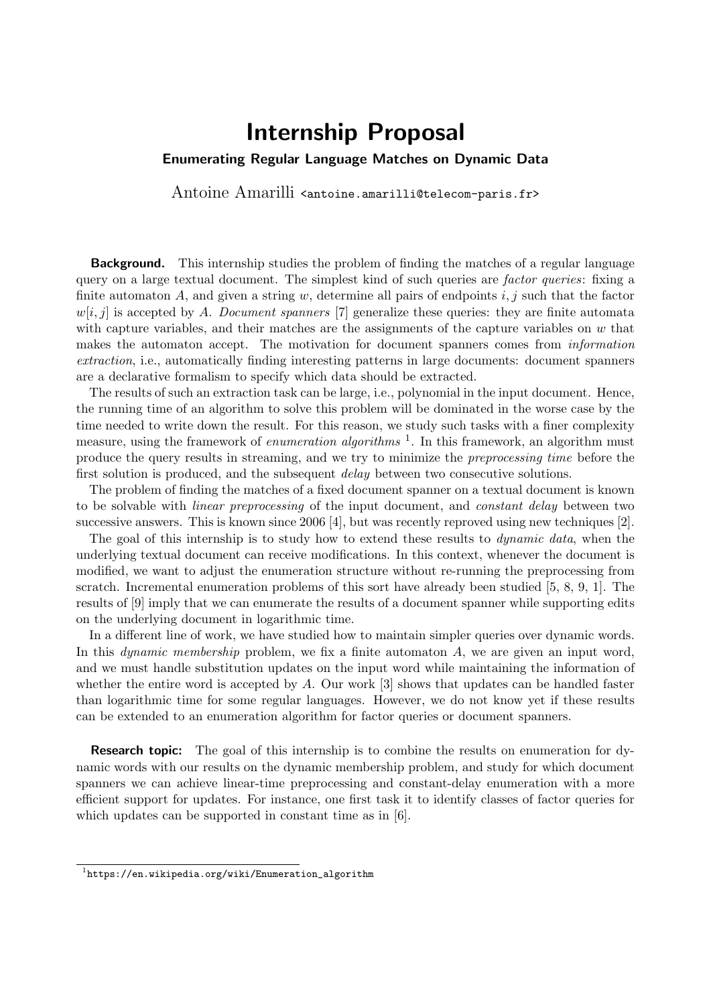## Internship Proposal

## <span id="page-0-0"></span>Enumerating Regular Language Matches on Dynamic Data

Antoine Amarilli <antoine.amarilli@telecom-paris.fr>

**Background.** This internship studies the problem of finding the matches of a regular language query on a large textual document. The simplest kind of such queries are *factor queries*: fixing a finite automaton A, and given a string w, determine all pairs of endpoints  $i, j$  such that the factor  $w[i, j]$  is accepted by A. Document spanners [\[7\]](#page-1-0) generalize these queries: they are finite automata with capture variables, and their matches are the assignments of the capture variables on  $w$  that makes the automaton accept. The motivation for document spanners comes from information extraction, i.e., automatically finding interesting patterns in large documents: document spanners are a declarative formalism to specify which data should be extracted.

The results of such an extraction task can be large, i.e., polynomial in the input document. Hence, the running time of an algorithm to solve this problem will be dominated in the worse case by the time needed to write down the result. For this reason, we study such tasks with a finer complexity measure, using the framework of *enumeration algorithms*<sup>1</sup>. In this framework, an algorithm must produce the query results in streaming, and we try to minimize the preprocessing time before the first solution is produced, and the subsequent *delay* between two consecutive solutions.

The problem of finding the matches of a fixed document spanner on a textual document is known to be solvable with *linear preprocessing* of the input document, and *constant delay* between two successive answers. This is known since 2006 [\[4\]](#page-1-1), but was recently reproved using new techniques [\[2\]](#page-1-2).

The goal of this internship is to study how to extend these results to *dynamic data*, when the underlying textual document can receive modifications. In this context, whenever the document is modified, we want to adjust the enumeration structure without re-running the preprocessing from scratch. Incremental enumeration problems of this sort have already been studied [\[5,](#page-1-3) [8,](#page-1-4) [9,](#page-1-5) [1\]](#page-1-6). The results of [\[9\]](#page-1-5) imply that we can enumerate the results of a document spanner while supporting edits on the underlying document in logarithmic time.

In a different line of work, we have studied how to maintain simpler queries over dynamic words. In this *dynamic membership* problem, we fix a finite automaton  $A$ , we are given an input word, and we must handle substitution updates on the input word while maintaining the information of whether the entire word is accepted by  $A$ . Our work  $[3]$  shows that updates can be handled faster than logarithmic time for some regular languages. However, we do not know yet if these results can be extended to an enumeration algorithm for factor queries or document spanners.

**Research topic:** The goal of this internship is to combine the results on enumeration for dynamic words with our results on the dynamic membership problem, and study for which document spanners we can achieve linear-time preprocessing and constant-delay enumeration with a more efficient support for updates. For instance, one first task it to identify classes of factor queries for which updates can be supported in constant time as in [\[6\]](#page-1-8).

 $^1$ [https://en.wikipedia.org/wiki/Enumeration\\_algorithm](https://en.wikipedia.org/wiki/Enumeration_algorithm)